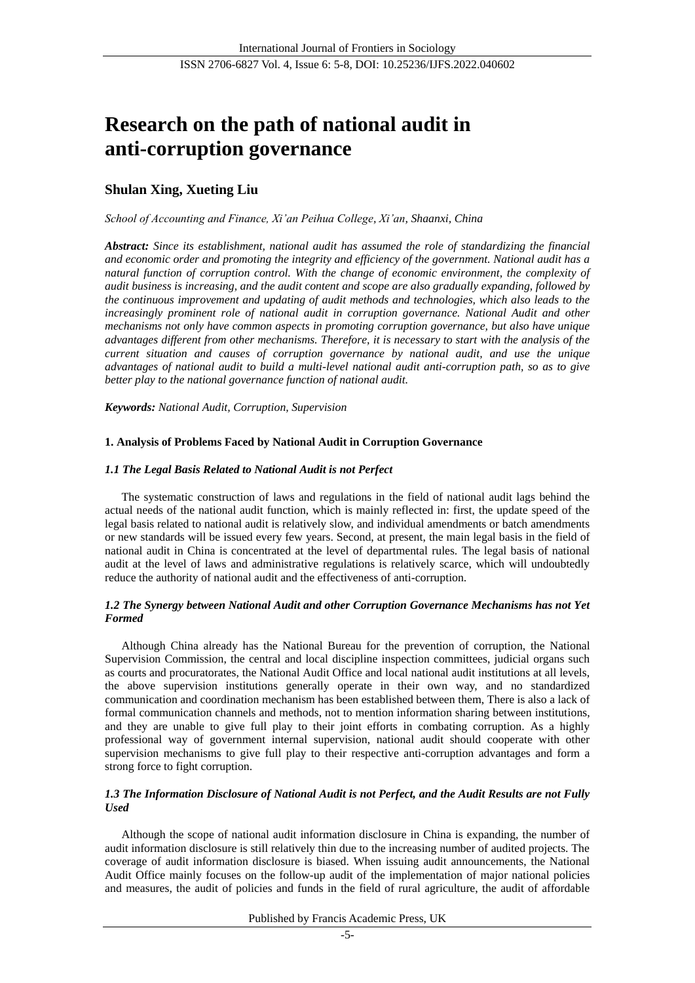# **Research on the path of national audit in anti-corruption governance**

# **Shulan Xing, Xueting Liu**

*School of Accounting and Finance, Xi'an Peihua College, Xi'an, Shaanxi, China*

*Abstract: Since its establishment, national audit has assumed the role of standardizing the financial and economic order and promoting the integrity and efficiency of the government. National audit has a natural function of corruption control. With the change of economic environment, the complexity of audit business is increasing, and the audit content and scope are also gradually expanding, followed by the continuous improvement and updating of audit methods and technologies, which also leads to the increasingly prominent role of national audit in corruption governance. National Audit and other mechanisms not only have common aspects in promoting corruption governance, but also have unique advantages different from other mechanisms. Therefore, it is necessary to start with the analysis of the current situation and causes of corruption governance by national audit, and use the unique advantages of national audit to build a multi-level national audit anti-corruption path, so as to give better play to the national governance function of national audit.*

*Keywords: National Audit, Corruption, Supervision*

# **1. Analysis of Problems Faced by National Audit in Corruption Governance**

# *1.1 The Legal Basis Related to National Audit is not Perfect*

The systematic construction of laws and regulations in the field of national audit lags behind the actual needs of the national audit function, which is mainly reflected in: first, the update speed of the legal basis related to national audit is relatively slow, and individual amendments or batch amendments or new standards will be issued every few years. Second, at present, the main legal basis in the field of national audit in China is concentrated at the level of departmental rules. The legal basis of national audit at the level of laws and administrative regulations is relatively scarce, which will undoubtedly reduce the authority of national audit and the effectiveness of anti-corruption.

# *1.2 The Synergy between National Audit and other Corruption Governance Mechanisms has not Yet Formed*

Although China already has the National Bureau for the prevention of corruption, the National Supervision Commission, the central and local discipline inspection committees, judicial organs such as courts and procuratorates, the National Audit Office and local national audit institutions at all levels, the above supervision institutions generally operate in their own way, and no standardized communication and coordination mechanism has been established between them, There is also a lack of formal communication channels and methods, not to mention information sharing between institutions, and they are unable to give full play to their joint efforts in combating corruption. As a highly professional way of government internal supervision, national audit should cooperate with other supervision mechanisms to give full play to their respective anti-corruption advantages and form a strong force to fight corruption.

# *1.3 The Information Disclosure of National Audit is not Perfect, and the Audit Results are not Fully Used*

Although the scope of national audit information disclosure in China is expanding, the number of audit information disclosure is still relatively thin due to the increasing number of audited projects. The coverage of audit information disclosure is biased. When issuing audit announcements, the National Audit Office mainly focuses on the follow-up audit of the implementation of major national policies and measures, the audit of policies and funds in the field of rural agriculture, the audit of affordable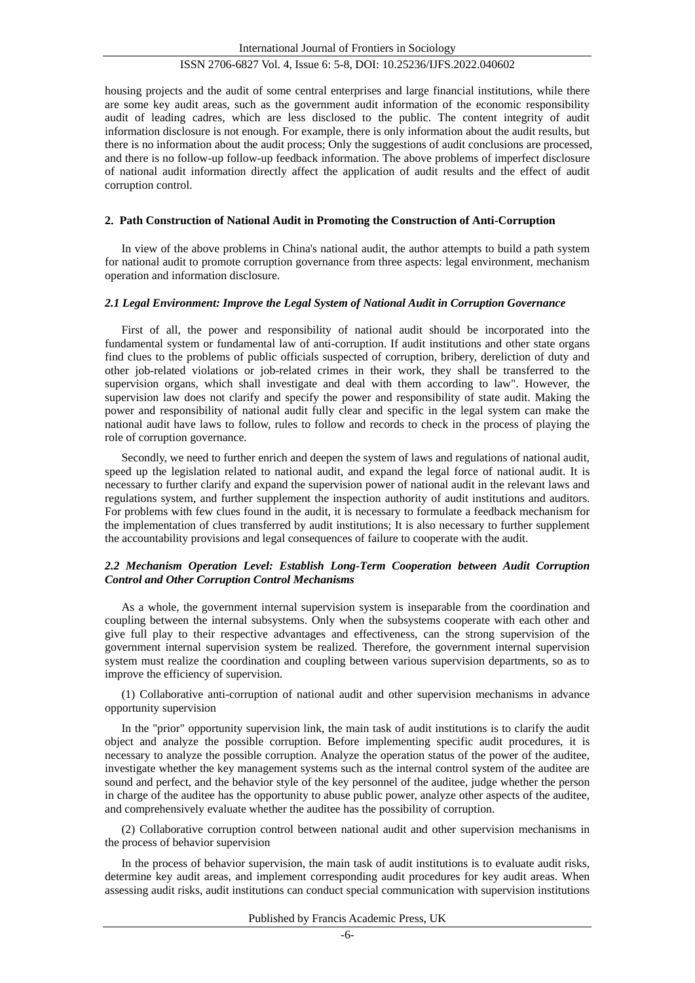#### ISSN 2706-6827 Vol. 4, Issue 6: 5-8, DOI: 10.25236/IJFS.2022.040602

housing projects and the audit of some central enterprises and large financial institutions, while there are some key audit areas, such as the government audit information of the economic responsibility audit of leading cadres, which are less disclosed to the public. The content integrity of audit information disclosure is not enough. For example, there is only information about the audit results, but there is no information about the audit process; Only the suggestions of audit conclusions are processed, and there is no follow-up follow-up feedback information. The above problems of imperfect disclosure of national audit information directly affect the application of audit results and the effect of audit corruption control.

#### **2**. **Path Construction of National Audit in Promoting the Construction of Anti-Corruption**

In view of the above problems in China's national audit, the author attempts to build a path system for national audit to promote corruption governance from three aspects: legal environment, mechanism operation and information disclosure.

#### *2.1 Legal Environment: Improve the Legal System of National Audit in Corruption Governance*

First of all, the power and responsibility of national audit should be incorporated into the fundamental system or fundamental law of anti-corruption. If audit institutions and other state organs find clues to the problems of public officials suspected of corruption, bribery, dereliction of duty and other job-related violations or job-related crimes in their work, they shall be transferred to the supervision organs, which shall investigate and deal with them according to law". However, the supervision law does not clarify and specify the power and responsibility of state audit. Making the power and responsibility of national audit fully clear and specific in the legal system can make the national audit have laws to follow, rules to follow and records to check in the process of playing the role of corruption governance.

Secondly, we need to further enrich and deepen the system of laws and regulations of national audit, speed up the legislation related to national audit, and expand the legal force of national audit. It is necessary to further clarify and expand the supervision power of national audit in the relevant laws and regulations system, and further supplement the inspection authority of audit institutions and auditors. For problems with few clues found in the audit, it is necessary to formulate a feedback mechanism for the implementation of clues transferred by audit institutions; It is also necessary to further supplement the accountability provisions and legal consequences of failure to cooperate with the audit.

## *2.2 Mechanism Operation Level: Establish Long-Term Cooperation between Audit Corruption Control and Other Corruption Control Mechanisms*

As a whole, the government internal supervision system is inseparable from the coordination and coupling between the internal subsystems. Only when the subsystems cooperate with each other and give full play to their respective advantages and effectiveness, can the strong supervision of the government internal supervision system be realized. Therefore, the government internal supervision system must realize the coordination and coupling between various supervision departments, so as to improve the efficiency of supervision.

(1) Collaborative anti-corruption of national audit and other supervision mechanisms in advance opportunity supervision

In the "prior" opportunity supervision link, the main task of audit institutions is to clarify the audit object and analyze the possible corruption. Before implementing specific audit procedures, it is necessary to analyze the possible corruption. Analyze the operation status of the power of the auditee, investigate whether the key management systems such as the internal control system of the auditee are sound and perfect, and the behavior style of the key personnel of the auditee, judge whether the person in charge of the auditee has the opportunity to abuse public power, analyze other aspects of the auditee, and comprehensively evaluate whether the auditee has the possibility of corruption.

(2) Collaborative corruption control between national audit and other supervision mechanisms in the process of behavior supervision

In the process of behavior supervision, the main task of audit institutions is to evaluate audit risks, determine key audit areas, and implement corresponding audit procedures for key audit areas. When assessing audit risks, audit institutions can conduct special communication with supervision institutions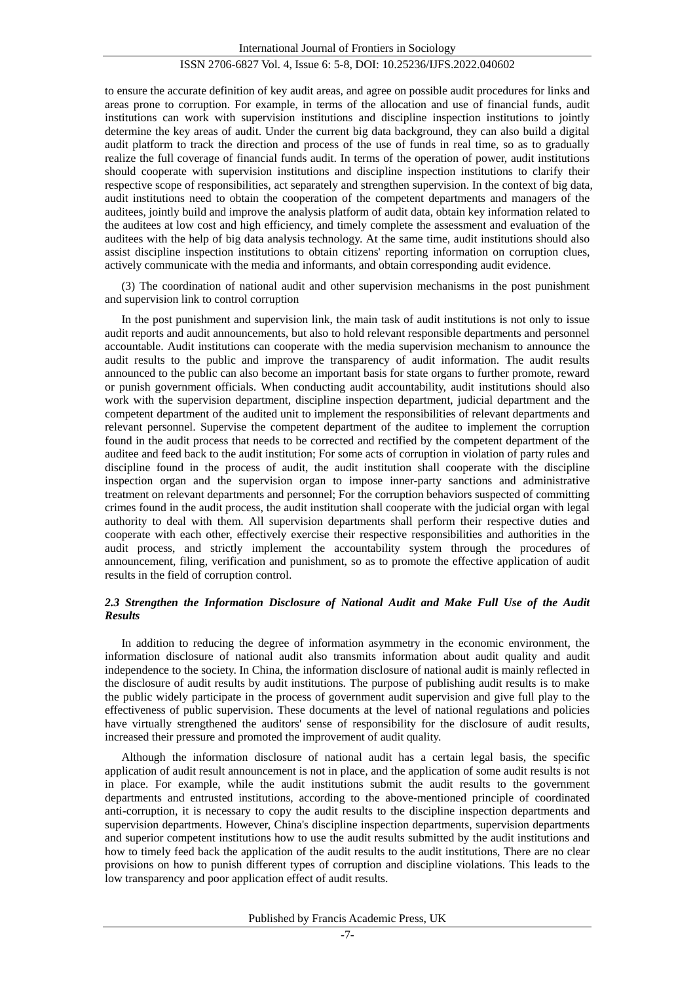# ISSN 2706-6827 Vol. 4, Issue 6: 5-8, DOI: 10.25236/IJFS.2022.040602

to ensure the accurate definition of key audit areas, and agree on possible audit procedures for links and areas prone to corruption. For example, in terms of the allocation and use of financial funds, audit institutions can work with supervision institutions and discipline inspection institutions to jointly determine the key areas of audit. Under the current big data background, they can also build a digital audit platform to track the direction and process of the use of funds in real time, so as to gradually realize the full coverage of financial funds audit. In terms of the operation of power, audit institutions should cooperate with supervision institutions and discipline inspection institutions to clarify their respective scope of responsibilities, act separately and strengthen supervision. In the context of big data, audit institutions need to obtain the cooperation of the competent departments and managers of the auditees, jointly build and improve the analysis platform of audit data, obtain key information related to the auditees at low cost and high efficiency, and timely complete the assessment and evaluation of the auditees with the help of big data analysis technology. At the same time, audit institutions should also assist discipline inspection institutions to obtain citizens' reporting information on corruption clues, actively communicate with the media and informants, and obtain corresponding audit evidence.

(3) The coordination of national audit and other supervision mechanisms in the post punishment and supervision link to control corruption

In the post punishment and supervision link, the main task of audit institutions is not only to issue audit reports and audit announcements, but also to hold relevant responsible departments and personnel accountable. Audit institutions can cooperate with the media supervision mechanism to announce the audit results to the public and improve the transparency of audit information. The audit results announced to the public can also become an important basis for state organs to further promote, reward or punish government officials. When conducting audit accountability, audit institutions should also work with the supervision department, discipline inspection department, judicial department and the competent department of the audited unit to implement the responsibilities of relevant departments and relevant personnel. Supervise the competent department of the auditee to implement the corruption found in the audit process that needs to be corrected and rectified by the competent department of the auditee and feed back to the audit institution; For some acts of corruption in violation of party rules and discipline found in the process of audit, the audit institution shall cooperate with the discipline inspection organ and the supervision organ to impose inner-party sanctions and administrative treatment on relevant departments and personnel; For the corruption behaviors suspected of committing crimes found in the audit process, the audit institution shall cooperate with the judicial organ with legal authority to deal with them. All supervision departments shall perform their respective duties and cooperate with each other, effectively exercise their respective responsibilities and authorities in the audit process, and strictly implement the accountability system through the procedures of announcement, filing, verification and punishment, so as to promote the effective application of audit results in the field of corruption control.

#### 2.3 Strengthen the Information Disclosure of National Audit and Make Full Use of the Audit *Results*

In addition to reducing the degree of information asymmetry in the economic environment, the information disclosure of national audit also transmits information about audit quality and audit independence to the society. In China, the information disclosure of national audit is mainly reflected in the disclosure of audit results by audit institutions. The purpose of publishing audit results is to make the public widely participate in the process of government audit supervision and give full play to the effectiveness of public supervision. These documents at the level of national regulations and policies have virtually strengthened the auditors' sense of responsibility for the disclosure of audit results, increased their pressure and promoted the improvement of audit quality.

Although the information disclosure of national audit has a certain legal basis, the specific application of audit result announcement is not in place, and the application of some audit results is not in place. For example, while the audit institutions submit the audit results to the government departments and entrusted institutions, according to the above-mentioned principle of coordinated anti-corruption, it is necessary to copy the audit results to the discipline inspection departments and supervision departments. However, China's discipline inspection departments, supervision departments and superior competent institutions how to use the audit results submitted by the audit institutions and how to timely feed back the application of the audit results to the audit institutions, There are no clear provisions on how to punish different types of corruption and discipline violations. This leads to the low transparency and poor application effect of audit results.